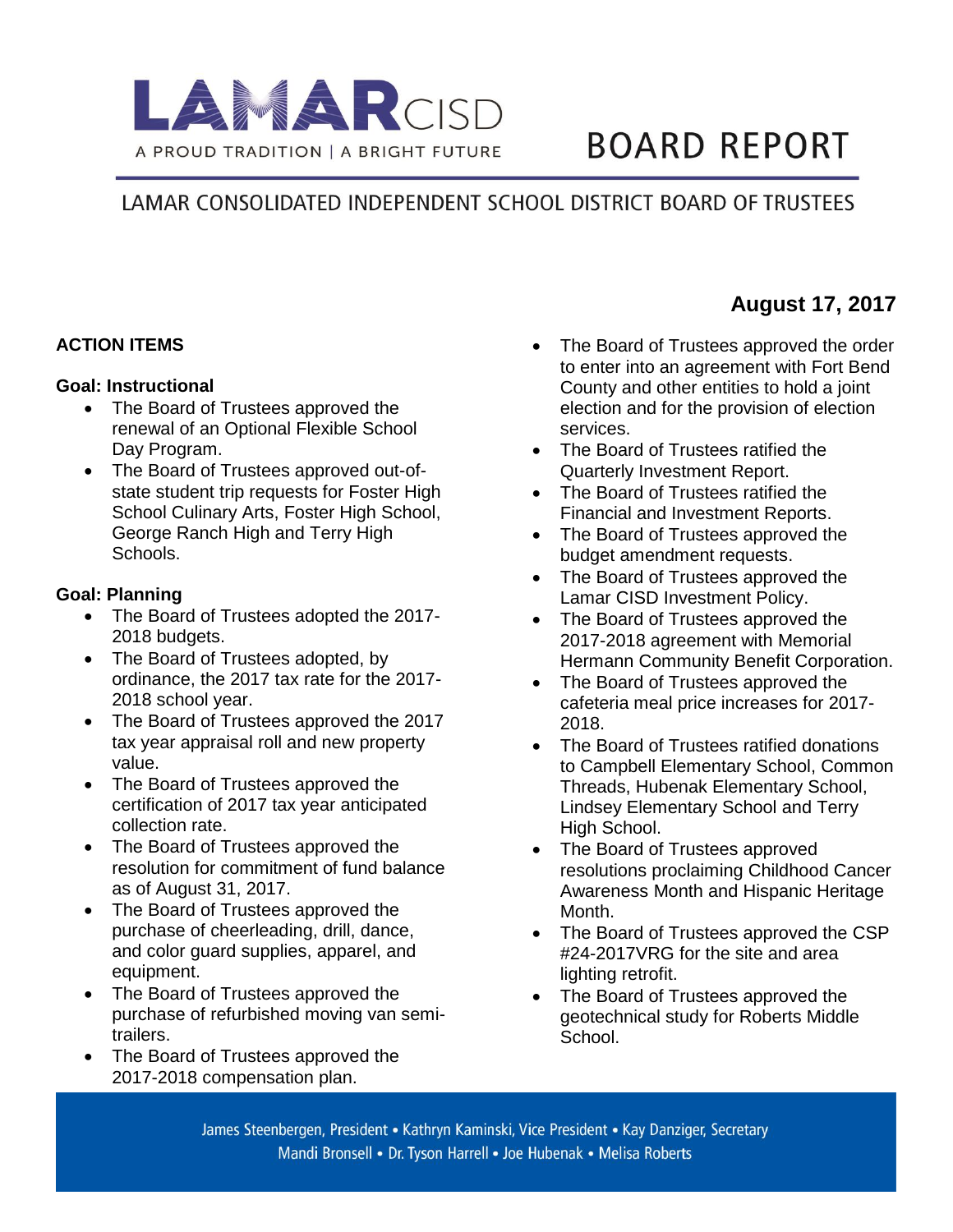

# **BOARD REPORT**

## LAMAR CONSOLIDATED INDEPENDENT SCHOOL DISTRICT BOARD OF TRUSTEES

## **ACTION ITEMS**

#### **Goal: Instructional**

- The Board of Trustees approved the renewal of an Optional Flexible School Day Program.
- The Board of Trustees approved out-ofstate student trip requests for Foster High School Culinary Arts, Foster High School, George Ranch High and Terry High Schools.

## **Goal: Planning**

- The Board of Trustees adopted the 2017-2018 budgets.
- The Board of Trustees adopted, by ordinance, the 2017 tax rate for the 2017- 2018 school year.
- The Board of Trustees approved the 2017 tax year appraisal roll and new property value.
- The Board of Trustees approved the certification of 2017 tax year anticipated collection rate.
- The Board of Trustees approved the resolution for commitment of fund balance as of August 31, 2017.
- The Board of Trustees approved the purchase of cheerleading, drill, dance, and color guard supplies, apparel, and equipment.
- The Board of Trustees approved the purchase of refurbished moving van semitrailers.
- The Board of Trustees approved the 2017-2018 compensation plan.
- The Board of Trustees approved the order to enter into an agreement with Fort Bend County and other entities to hold a joint election and for the provision of election services.
- The Board of Trustees ratified the Quarterly Investment Report.
- The Board of Trustees ratified the Financial and Investment Reports.
- The Board of Trustees approved the budget amendment requests.
- The Board of Trustees approved the Lamar CISD Investment Policy.
- The Board of Trustees approved the 2017-2018 agreement with Memorial Hermann Community Benefit Corporation.
- The Board of Trustees approved the cafeteria meal price increases for 2017- 2018.
- The Board of Trustees ratified donations to Campbell Elementary School, Common Threads, Hubenak Elementary School, Lindsey Elementary School and Terry High School.
- The Board of Trustees approved resolutions proclaiming Childhood Cancer Awareness Month and Hispanic Heritage Month.
- The Board of Trustees approved the CSP #24-2017VRG for the site and area lighting retrofit.
- The Board of Trustees approved the geotechnical study for Roberts Middle School.

James Steenbergen, President • Kathryn Kaminski, Vice President • Kay Danziger, Secretary Mandi Bronsell • Dr. Tyson Harrell • Joe Hubenak • Melisa Roberts

## **August 17, 2017**